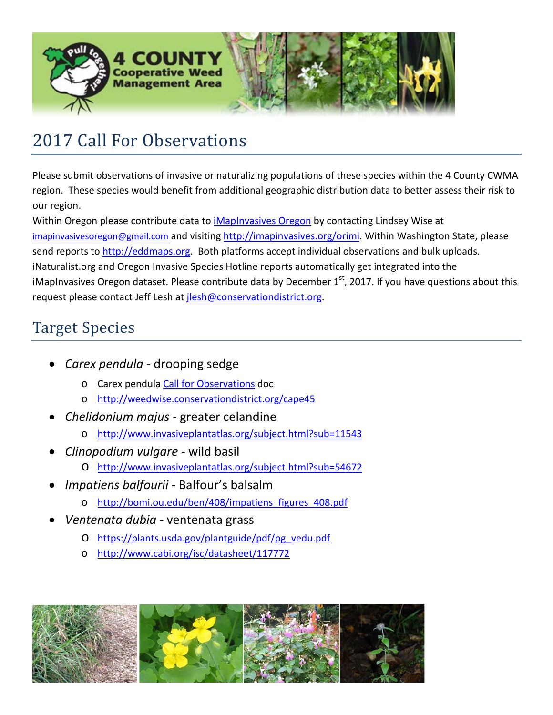

## 2017 Call For Observations

Please submit observations of invasive or naturalizing populations of these species within the 4 County CWMA region. These species would benefit from additional geographic distribution data to better assess their risk to our region.

Within Oregon please contribute data to *iMapInvasives Oregon* by contacting Lindsey Wise at [imapinvasivesoregon@gmail.com](mailto:imapinvasivesoregon@gmail.com) and visiting [http://imapinvasives.org/orimi.](http://imapinvasives.org/orimi) Within Washington State, please send reports to [http://eddmaps.org.](http://eddmaps.org/) Both platforms accept individual observations and bulk uploads. iNaturalist.org and Oregon Invasive Species Hotline reports automatically get integrated into the iMapInvasives Oregon dataset. Please contribute data by December  $1<sup>st</sup>$ , 2017. If you have questions about this request please contact Jeff Lesh a[t jlesh@conservationdistrict.org.](mailto:jlesh@conservationdistrict.org)

## Target Species

- *Carex pendula* drooping sedge
	- o Carex pendul[a Call for Observations](http://www.polkswcd.com/uploads/5/1/7/5/51756011/carex_pendula_call_for_observations.pdf) doc
	- o <http://weedwise.conservationdistrict.org/cape45>
- *Chelidonium majus* greater celandine
	- o <http://www.invasiveplantatlas.org/subject.html?sub=11543>
- *Clinopodium vulgare* wild basil
	- o <http://www.invasiveplantatlas.org/subject.html?sub=54672>
- *Impatiens balfourii* Balfour's balsalm
	- o [http://bomi.ou.edu/ben/408/impatiens\\_figures\\_408.pdf](http://bomi.ou.edu/ben/408/impatiens_figures_408.pdf)
- *Ventenata dubia* ventenata grass
	- o [https://plants.usda.gov/plantguide/pdf/pg\\_vedu.pdf](https://plants.usda.gov/plantguide/pdf/pg_vedu.pdf)
	- o <http://www.cabi.org/isc/datasheet/117772>